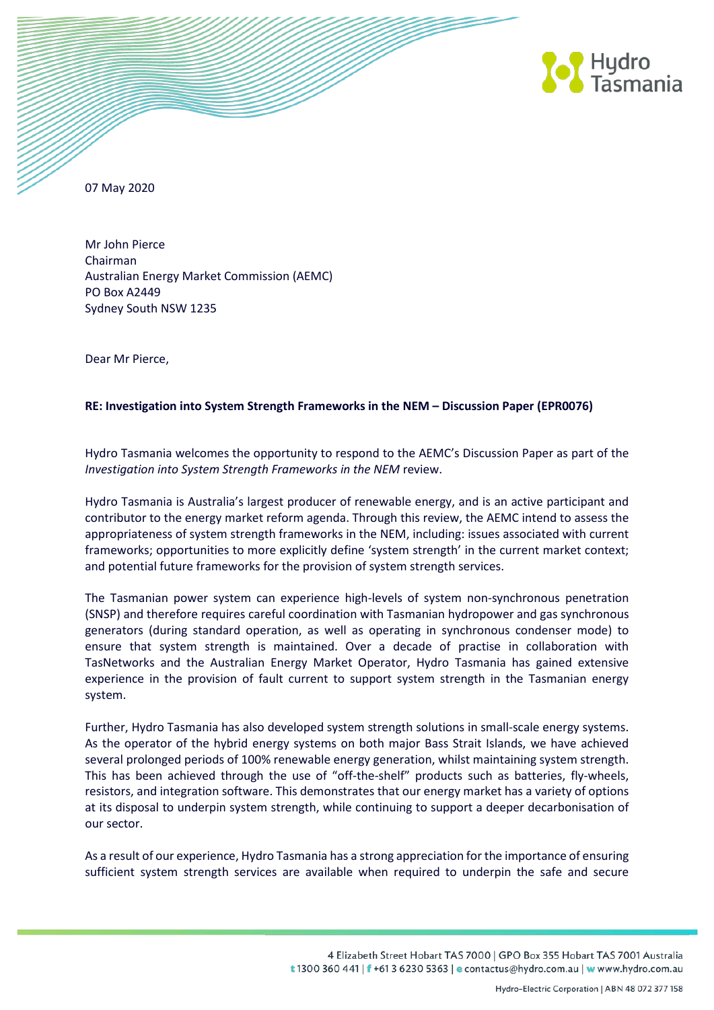

07 May 2020

Mr John Pierce Chairman Australian Energy Market Commission (AEMC) PO Box A2449 Sydney South NSW 1235

Dear Mr Pierce,

#### **RE: Investigation into System Strength Frameworks in the NEM – Discussion Paper (EPR0076)**

Hydro Tasmania welcomes the opportunity to respond to the AEMC's Discussion Paper as part of the *Investigation into System Strength Frameworks in the NEM* review.

Hydro Tasmania is Australia's largest producer of renewable energy, and is an active participant and contributor to the energy market reform agenda. Through this review, the AEMC intend to assess the appropriateness of system strength frameworks in the NEM, including: issues associated with current frameworks; opportunities to more explicitly define 'system strength' in the current market context; and potential future frameworks for the provision of system strength services.

The Tasmanian power system can experience high-levels of system non-synchronous penetration (SNSP) and therefore requires careful coordination with Tasmanian hydropower and gas synchronous generators (during standard operation, as well as operating in synchronous condenser mode) to ensure that system strength is maintained. Over a decade of practise in collaboration with TasNetworks and the Australian Energy Market Operator, Hydro Tasmania has gained extensive experience in the provision of fault current to support system strength in the Tasmanian energy system.

Further, Hydro Tasmania has also developed system strength solutions in small-scale energy systems. As the operator of the hybrid energy systems on both major Bass Strait Islands, we have achieved several prolonged periods of 100% renewable energy generation, whilst maintaining system strength. This has been achieved through the use of "off-the-shelf" products such as batteries, fly-wheels, resistors, and integration software. This demonstrates that our energy market has a variety of options at its disposal to underpin system strength, while continuing to support a deeper decarbonisation of our sector.

As a result of our experience, Hydro Tasmania has a strong appreciation for the importance of ensuring sufficient system strength services are available when required to underpin the safe and secure

> 4 Elizabeth Street Hobart TAS 7000 | GPO Box 355 Hobart TAS 7001 Australia t 1300 360 441 | f +61 3 6230 5363 | e contactus@hydro.com.au | w www.hydro.com.au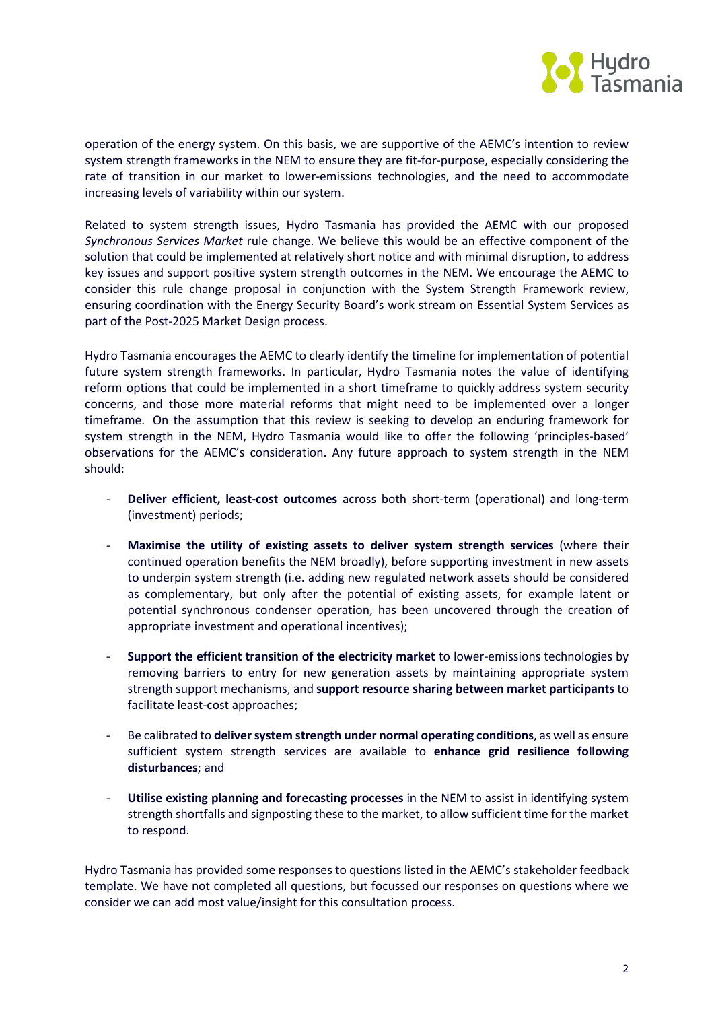

operation of the energy system. On this basis, we are supportive of the AEMC's intention to review system strength frameworks in the NEM to ensure they are fit-for-purpose, especially considering the rate of transition in our market to lower-emissions technologies, and the need to accommodate increasing levels of variability within our system.

Related to system strength issues, Hydro Tasmania has provided the AEMC with our proposed *Synchronous Services Market* rule change. We believe this would be an effective component of the solution that could be implemented at relatively short notice and with minimal disruption, to address key issues and support positive system strength outcomes in the NEM. We encourage the AEMC to consider this rule change proposal in conjunction with the System Strength Framework review, ensuring coordination with the Energy Security Board's work stream on Essential System Services as part of the Post-2025 Market Design process.

Hydro Tasmania encourages the AEMC to clearly identify the timeline for implementation of potential future system strength frameworks. In particular, Hydro Tasmania notes the value of identifying reform options that could be implemented in a short timeframe to quickly address system security concerns, and those more material reforms that might need to be implemented over a longer timeframe. On the assumption that this review is seeking to develop an enduring framework for system strength in the NEM, Hydro Tasmania would like to offer the following 'principles-based' observations for the AEMC's consideration. Any future approach to system strength in the NEM should:

- **Deliver efficient, least-cost outcomes** across both short-term (operational) and long-term (investment) periods;
- **Maximise the utility of existing assets to deliver system strength services** (where their continued operation benefits the NEM broadly), before supporting investment in new assets to underpin system strength (i.e. adding new regulated network assets should be considered as complementary, but only after the potential of existing assets, for example latent or potential synchronous condenser operation, has been uncovered through the creation of appropriate investment and operational incentives);
- **Support the efficient transition of the electricity market** to lower-emissions technologies by removing barriers to entry for new generation assets by maintaining appropriate system strength support mechanisms, and **support resource sharing between market participants** to facilitate least-cost approaches;
- Be calibrated to **deliver system strength under normal operating conditions**, as well as ensure sufficient system strength services are available to **enhance grid resilience following disturbances**; and
- **Utilise existing planning and forecasting processes** in the NEM to assist in identifying system strength shortfalls and signposting these to the market, to allow sufficient time for the market to respond.

Hydro Tasmania has provided some responses to questions listed in the AEMC's stakeholder feedback template. We have not completed all questions, but focussed our responses on questions where we consider we can add most value/insight for this consultation process.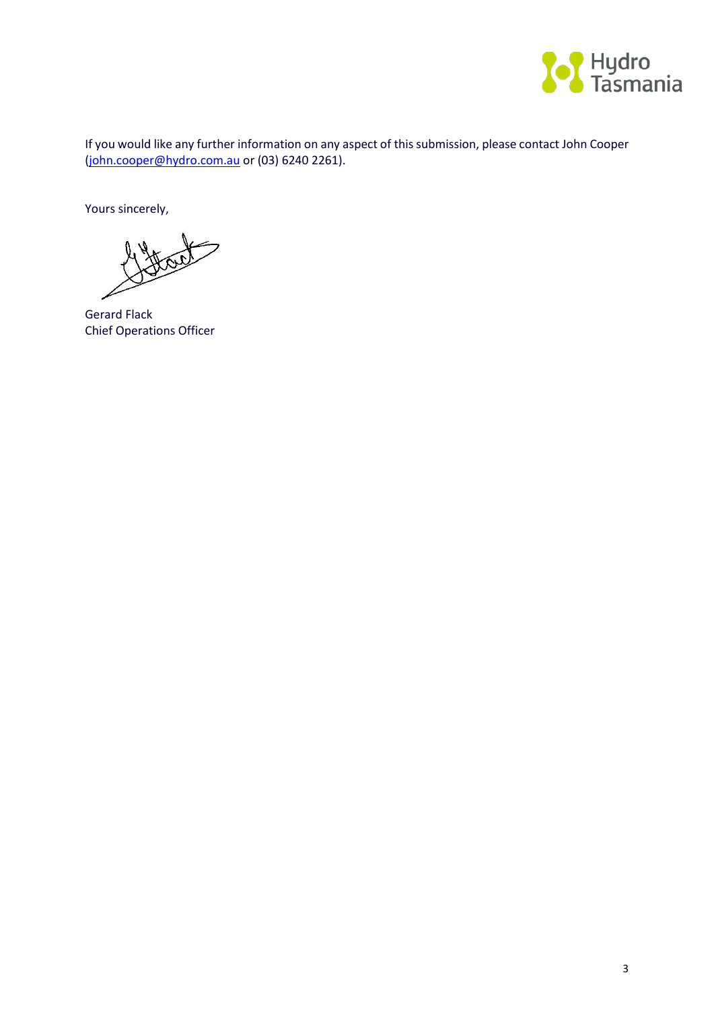

If you would like any further information on any aspect of this submission, please contact John Cooper [\(john.cooper@hydro.com.au](mailto:john.cooper@hydro.com.au) or (03) 6240 2261).

Yours sincerely,

Gerard Flack Chief Operations Officer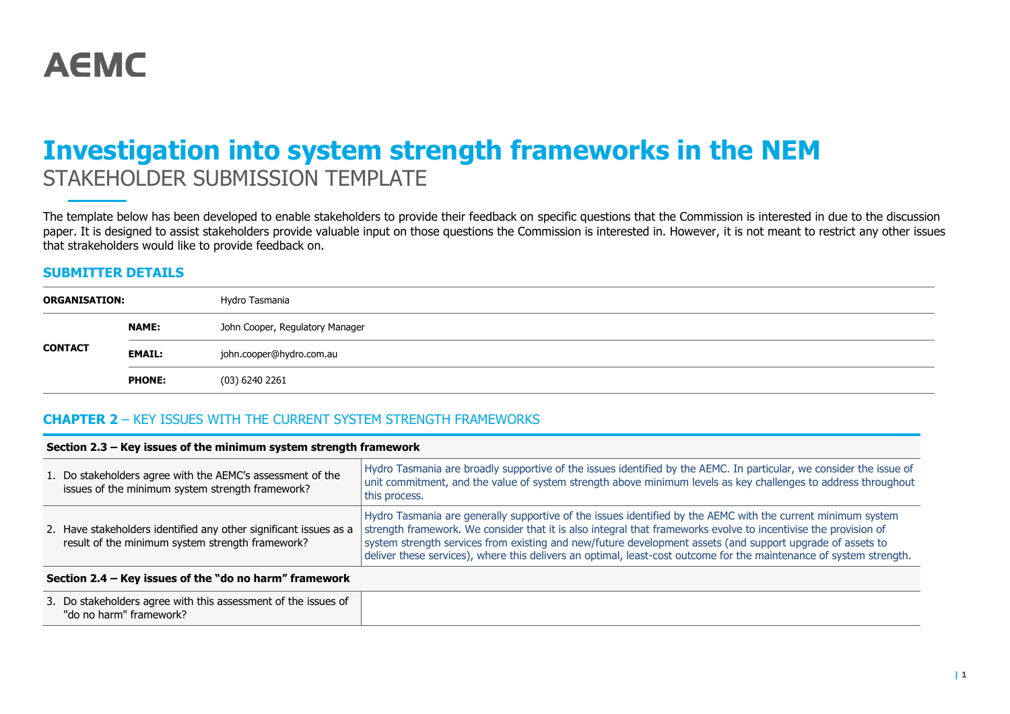# **Investigation into system strength frameworks in the NEM** STAKEHOLDER SUBMISSION TEMPLATE

The template below has been developed to enable stakeholders to provide their feedback on specific questions that the Commission is interested in due to the discussion paper. It is designed to assist stakeholders provide valuable input on those questions the Commission is interested in. However, it is not meant to restrict any other issues that strakeholders would like to provide feedback on.

### **SUBMITTER DETAILS**

| <b>ORGANISATION:</b> |               | Hydro Tasmania                  |
|----------------------|---------------|---------------------------------|
|                      | <b>NAME:</b>  | John Cooper, Regulatory Manager |
| <b>CONTACT</b>       | <b>EMAIL:</b> | john.cooper@hydro.com.au        |
|                      | <b>PHONE:</b> | (03) 6240 2261                  |

### **CHAPTER 2** – KEY ISSUES WITH THE CURRENT SYSTEM STRENGTH FRAMEWORKS

| Section 2.3 – Key issues of the minimum system strength framework                                                     |                                                                                                                                                                                                                                                                                                                                                                                                                                                                      |  |
|-----------------------------------------------------------------------------------------------------------------------|----------------------------------------------------------------------------------------------------------------------------------------------------------------------------------------------------------------------------------------------------------------------------------------------------------------------------------------------------------------------------------------------------------------------------------------------------------------------|--|
| 1. Do stakeholders agree with the AEMC's assessment of the<br>issues of the minimum system strength framework?        | Hydro Tasmania are broadly supportive of the issues identified by the AEMC. In particular, we consider the issue of<br>unit commitment, and the value of system strength above minimum levels as key challenges to address throughout<br>this process.                                                                                                                                                                                                               |  |
| 2. Have stakeholders identified any other significant issues as a<br>result of the minimum system strength framework? | Hydro Tasmania are generally supportive of the issues identified by the AEMC with the current minimum system<br>strength framework. We consider that it is also integral that frameworks evolve to incentivise the provision of<br>system strength services from existing and new/future development assets (and support upgrade of assets to<br>deliver these services), where this delivers an optimal, least-cost outcome for the maintenance of system strength. |  |
| Section 2.4 – Key issues of the "do no harm" framework                                                                |                                                                                                                                                                                                                                                                                                                                                                                                                                                                      |  |
| 3. Do stakeholders agree with this assessment of the issues of<br>"do no harm" framework?                             |                                                                                                                                                                                                                                                                                                                                                                                                                                                                      |  |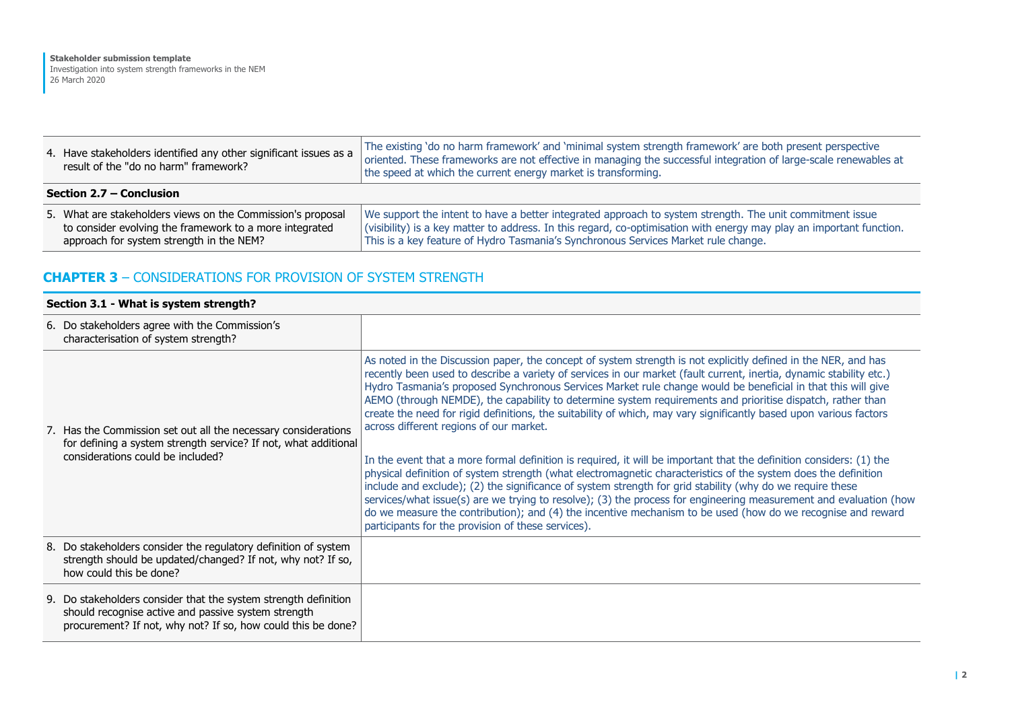| 4. Have stakeholders identified any other significant issues as a<br>result of the "do no harm" framework?                                                         | The existing 'do no harm framework' and 'minimal system strength framework' are both present perspective<br>oriented. These frameworks are not effective in managing the successful integration of large-scale renewables at<br>the speed at which the current energy market is transforming.                          |  |
|--------------------------------------------------------------------------------------------------------------------------------------------------------------------|------------------------------------------------------------------------------------------------------------------------------------------------------------------------------------------------------------------------------------------------------------------------------------------------------------------------|--|
| Section 2.7 – Conclusion                                                                                                                                           |                                                                                                                                                                                                                                                                                                                        |  |
| 5. What are stakeholders views on the Commission's proposal<br>to consider evolving the framework to a more integrated<br>approach for system strength in the NEM? | We support the intent to have a better integrated approach to system strength. The unit commitment issue<br>(visibility) is a key matter to address. In this regard, co-optimisation with energy may play an important function.<br>This is a key feature of Hydro Tasmania's Synchronous Services Market rule change. |  |

## **CHAPTER 3** – CONSIDERATIONS FOR PROVISION OF SYSTEM STRENGTH

#### **Section 3.1 - What is system strength?**

| 6. Do stakeholders agree with the Commission's<br>characterisation of system strength?                                                                                                 |                                                                                                                                                                                                                                                                                                                                                                                                                                                                                                                                                                                                                                                                                                                                                                                                                                                                                                                                                                                                                                                                                                                                                                                                                                                                                      |
|----------------------------------------------------------------------------------------------------------------------------------------------------------------------------------------|--------------------------------------------------------------------------------------------------------------------------------------------------------------------------------------------------------------------------------------------------------------------------------------------------------------------------------------------------------------------------------------------------------------------------------------------------------------------------------------------------------------------------------------------------------------------------------------------------------------------------------------------------------------------------------------------------------------------------------------------------------------------------------------------------------------------------------------------------------------------------------------------------------------------------------------------------------------------------------------------------------------------------------------------------------------------------------------------------------------------------------------------------------------------------------------------------------------------------------------------------------------------------------------|
| 7. Has the Commission set out all the necessary considerations<br>for defining a system strength service? If not, what additional<br>considerations could be included?                 | As noted in the Discussion paper, the concept of system strength is not explicitly defined in the NER, and has<br>recently been used to describe a variety of services in our market (fault current, inertia, dynamic stability etc.)<br>Hydro Tasmania's proposed Synchronous Services Market rule change would be beneficial in that this will give<br>AEMO (through NEMDE), the capability to determine system requirements and prioritise dispatch, rather than<br>create the need for rigid definitions, the suitability of which, may vary significantly based upon various factors<br>across different regions of our market.<br>In the event that a more formal definition is required, it will be important that the definition considers: (1) the<br>physical definition of system strength (what electromagnetic characteristics of the system does the definition<br>include and exclude); (2) the significance of system strength for grid stability (why do we require these<br>services/what issue(s) are we trying to resolve); (3) the process for engineering measurement and evaluation (how<br>do we measure the contribution); and (4) the incentive mechanism to be used (how do we recognise and reward<br>participants for the provision of these services). |
| 8. Do stakeholders consider the regulatory definition of system<br>strength should be updated/changed? If not, why not? If so,<br>how could this be done?                              |                                                                                                                                                                                                                                                                                                                                                                                                                                                                                                                                                                                                                                                                                                                                                                                                                                                                                                                                                                                                                                                                                                                                                                                                                                                                                      |
| 9. Do stakeholders consider that the system strength definition<br>should recognise active and passive system strength<br>procurement? If not, why not? If so, how could this be done? |                                                                                                                                                                                                                                                                                                                                                                                                                                                                                                                                                                                                                                                                                                                                                                                                                                                                                                                                                                                                                                                                                                                                                                                                                                                                                      |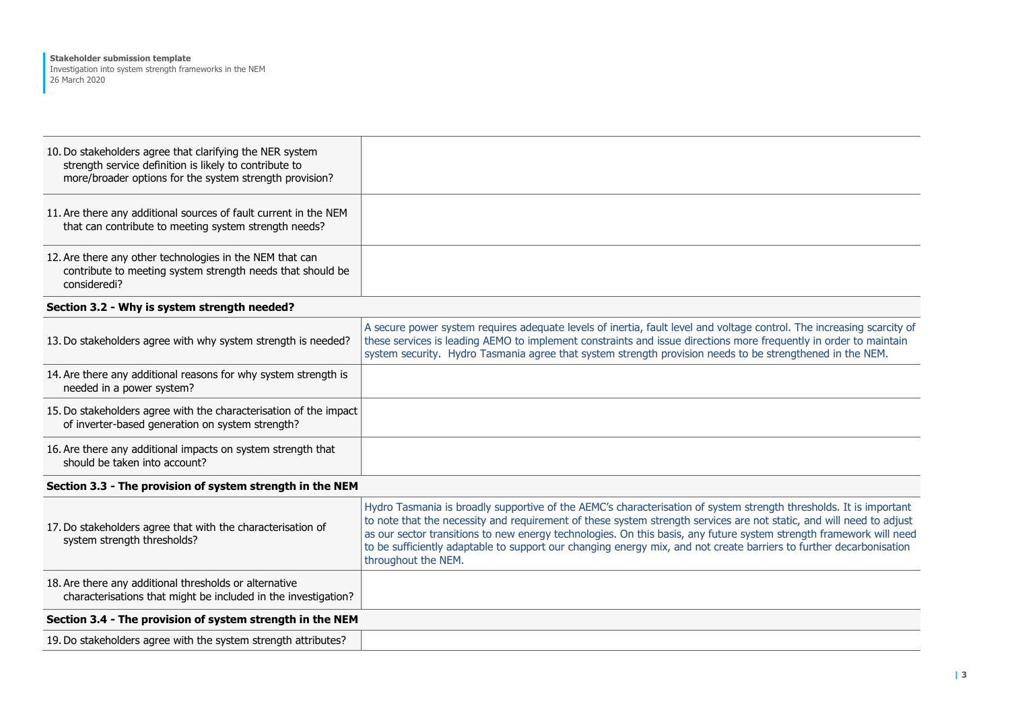| 10. Do stakeholders agree that clarifying the NER system<br>strength service definition is likely to contribute to<br>more/broader options for the system strength provision? |                                                                                                                                                                                                                                                                                                                                                                                                                                                                                                                 |
|-------------------------------------------------------------------------------------------------------------------------------------------------------------------------------|-----------------------------------------------------------------------------------------------------------------------------------------------------------------------------------------------------------------------------------------------------------------------------------------------------------------------------------------------------------------------------------------------------------------------------------------------------------------------------------------------------------------|
| 11. Are there any additional sources of fault current in the NEM<br>that can contribute to meeting system strength needs?                                                     |                                                                                                                                                                                                                                                                                                                                                                                                                                                                                                                 |
| 12. Are there any other technologies in the NEM that can<br>contribute to meeting system strength needs that should be<br>consideredi?                                        |                                                                                                                                                                                                                                                                                                                                                                                                                                                                                                                 |
| Section 3.2 - Why is system strength needed?                                                                                                                                  |                                                                                                                                                                                                                                                                                                                                                                                                                                                                                                                 |
| 13. Do stakeholders agree with why system strength is needed?                                                                                                                 | A secure power system requires adequate levels of inertia, fault level and voltage control. The increasing scarcity of<br>these services is leading AEMO to implement constraints and issue directions more frequently in order to maintain<br>system security. Hydro Tasmania agree that system strength provision needs to be strengthened in the NEM.                                                                                                                                                        |
| 14. Are there any additional reasons for why system strength is<br>needed in a power system?                                                                                  |                                                                                                                                                                                                                                                                                                                                                                                                                                                                                                                 |
| 15. Do stakeholders agree with the characterisation of the impact<br>of inverter-based generation on system strength?                                                         |                                                                                                                                                                                                                                                                                                                                                                                                                                                                                                                 |
| 16. Are there any additional impacts on system strength that<br>should be taken into account?                                                                                 |                                                                                                                                                                                                                                                                                                                                                                                                                                                                                                                 |
| Section 3.3 - The provision of system strength in the NEM                                                                                                                     |                                                                                                                                                                                                                                                                                                                                                                                                                                                                                                                 |
| 17. Do stakeholders agree that with the characterisation of<br>system strength thresholds?                                                                                    | Hydro Tasmania is broadly supportive of the AEMC's characterisation of system strength thresholds. It is important<br>to note that the necessity and requirement of these system strength services are not static, and will need to adjust<br>as our sector transitions to new energy technologies. On this basis, any future system strength framework will need<br>to be sufficiently adaptable to support our changing energy mix, and not create barriers to further decarbonisation<br>throughout the NEM. |
| 18. Are there any additional thresholds or alternative<br>characterisations that might be included in the investigation?                                                      |                                                                                                                                                                                                                                                                                                                                                                                                                                                                                                                 |
| Section 3.4 - The provision of system strength in the NEM                                                                                                                     |                                                                                                                                                                                                                                                                                                                                                                                                                                                                                                                 |
| 19. Do stakeholders agree with the system strength attributes?                                                                                                                |                                                                                                                                                                                                                                                                                                                                                                                                                                                                                                                 |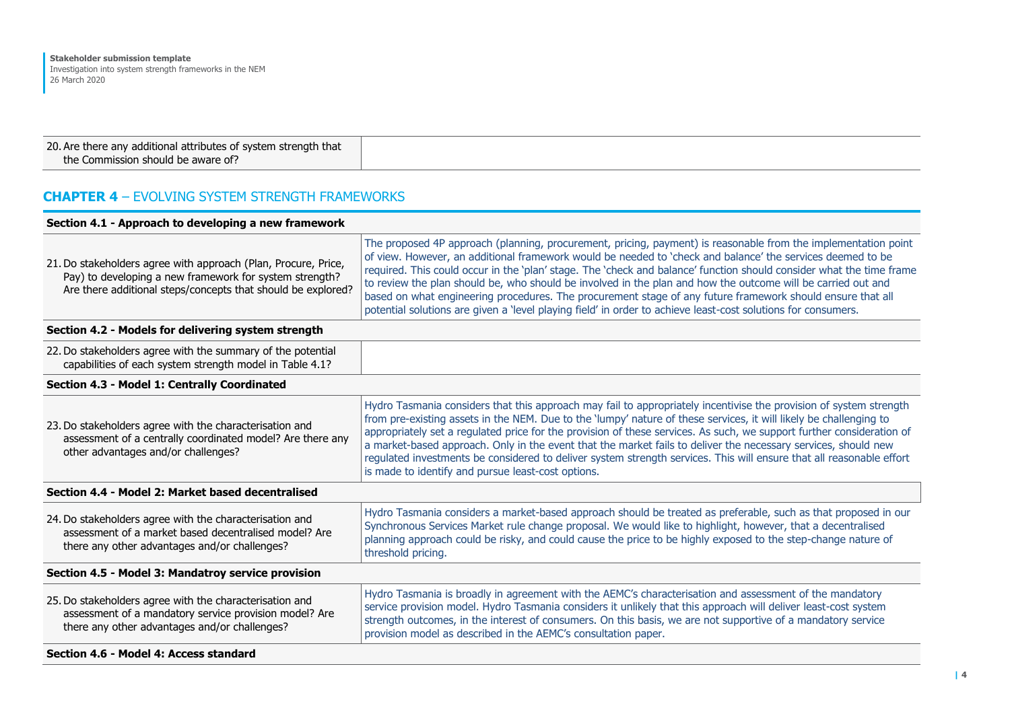| 20. Are there any additional attributes of system strength that |  |
|-----------------------------------------------------------------|--|
| the Commission should be aware of?                              |  |

# **CHAPTER 4** – EVOLVING SYSTEM STRENGTH FRAMEWORKS

| Section 4.1 - Approach to developing a new framework                                                                                                                                      |                                                                                                                                                                                                                                                                                                                                                                                                                                                                                                                                                                                                                                                                                                     |
|-------------------------------------------------------------------------------------------------------------------------------------------------------------------------------------------|-----------------------------------------------------------------------------------------------------------------------------------------------------------------------------------------------------------------------------------------------------------------------------------------------------------------------------------------------------------------------------------------------------------------------------------------------------------------------------------------------------------------------------------------------------------------------------------------------------------------------------------------------------------------------------------------------------|
| 21. Do stakeholders agree with approach (Plan, Procure, Price,<br>Pay) to developing a new framework for system strength?<br>Are there additional steps/concepts that should be explored? | The proposed 4P approach (planning, procurement, pricing, payment) is reasonable from the implementation point<br>of view. However, an additional framework would be needed to 'check and balance' the services deemed to be<br>required. This could occur in the 'plan' stage. The 'check and balance' function should consider what the time frame<br>to review the plan should be, who should be involved in the plan and how the outcome will be carried out and<br>based on what engineering procedures. The procurement stage of any future framework should ensure that all<br>potential solutions are given a 'level playing field' in order to achieve least-cost solutions for consumers. |
| Section 4.2 - Models for delivering system strength                                                                                                                                       |                                                                                                                                                                                                                                                                                                                                                                                                                                                                                                                                                                                                                                                                                                     |
| 22. Do stakeholders agree with the summary of the potential<br>capabilities of each system strength model in Table 4.1?                                                                   |                                                                                                                                                                                                                                                                                                                                                                                                                                                                                                                                                                                                                                                                                                     |
| Section 4.3 - Model 1: Centrally Coordinated                                                                                                                                              |                                                                                                                                                                                                                                                                                                                                                                                                                                                                                                                                                                                                                                                                                                     |
| 23. Do stakeholders agree with the characterisation and<br>assessment of a centrally coordinated model? Are there any<br>other advantages and/or challenges?                              | Hydro Tasmania considers that this approach may fail to appropriately incentivise the provision of system strength<br>from pre-existing assets in the NEM. Due to the 'lumpy' nature of these services, it will likely be challenging to<br>appropriately set a regulated price for the provision of these services. As such, we support further consideration of<br>a market-based approach. Only in the event that the market fails to deliver the necessary services, should new<br>regulated investments be considered to deliver system strength services. This will ensure that all reasonable effort<br>is made to identify and pursue least-cost options.                                   |
| Section 4.4 - Model 2: Market based decentralised                                                                                                                                         |                                                                                                                                                                                                                                                                                                                                                                                                                                                                                                                                                                                                                                                                                                     |
| 24. Do stakeholders agree with the characterisation and<br>assessment of a market based decentralised model? Are<br>there any other advantages and/or challenges?                         | Hydro Tasmania considers a market-based approach should be treated as preferable, such as that proposed in our<br>Synchronous Services Market rule change proposal. We would like to highlight, however, that a decentralised<br>planning approach could be risky, and could cause the price to be highly exposed to the step-change nature of<br>threshold pricing.                                                                                                                                                                                                                                                                                                                                |
| Section 4.5 - Model 3: Mandatroy service provision                                                                                                                                        |                                                                                                                                                                                                                                                                                                                                                                                                                                                                                                                                                                                                                                                                                                     |
| 25. Do stakeholders agree with the characterisation and<br>assessment of a mandatory service provision model? Are<br>there any other advantages and/or challenges?                        | Hydro Tasmania is broadly in agreement with the AEMC's characterisation and assessment of the mandatory<br>service provision model. Hydro Tasmania considers it unlikely that this approach will deliver least-cost system<br>strength outcomes, in the interest of consumers. On this basis, we are not supportive of a mandatory service<br>provision model as described in the AEMC's consultation paper.                                                                                                                                                                                                                                                                                        |
| Section 4.6 - Model 4: Access standard                                                                                                                                                    |                                                                                                                                                                                                                                                                                                                                                                                                                                                                                                                                                                                                                                                                                                     |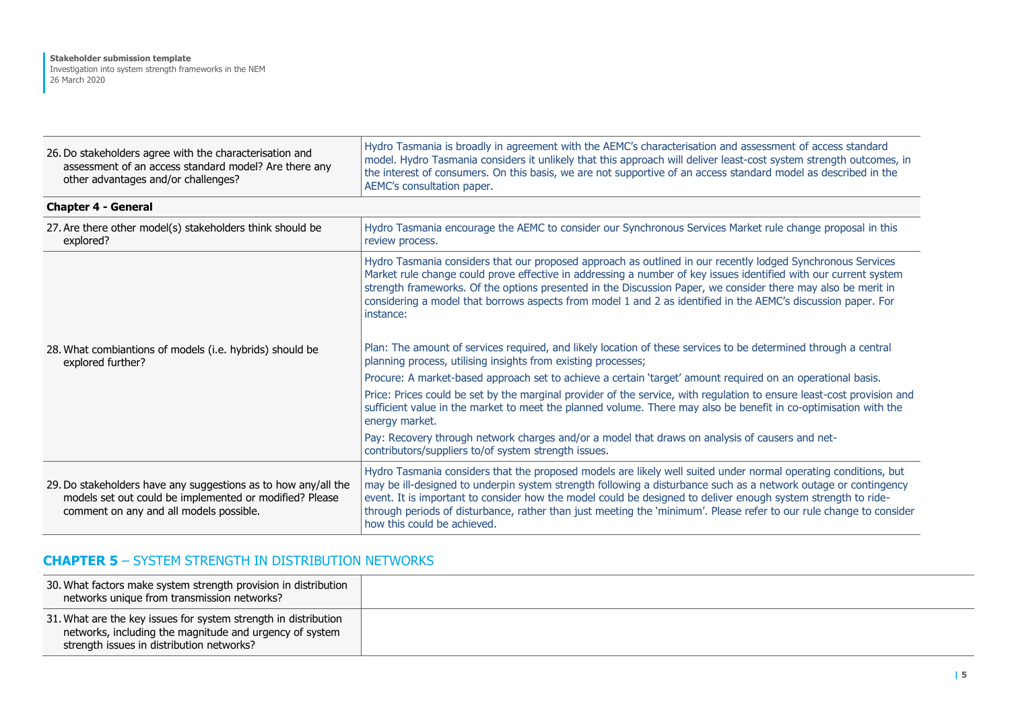| 26. Do stakeholders agree with the characterisation and<br>assessment of an access standard model? Are there any<br>other advantages and/or challenges?              | Hydro Tasmania is broadly in agreement with the AEMC's characterisation and assessment of access standard<br>model. Hydro Tasmania considers it unlikely that this approach will deliver least-cost system strength outcomes, in<br>the interest of consumers. On this basis, we are not supportive of an access standard model as described in the<br>AEMC's consultation paper.                                                                                                                         |
|----------------------------------------------------------------------------------------------------------------------------------------------------------------------|-----------------------------------------------------------------------------------------------------------------------------------------------------------------------------------------------------------------------------------------------------------------------------------------------------------------------------------------------------------------------------------------------------------------------------------------------------------------------------------------------------------|
| <b>Chapter 4 - General</b>                                                                                                                                           |                                                                                                                                                                                                                                                                                                                                                                                                                                                                                                           |
| 27. Are there other model(s) stakeholders think should be<br>explored?                                                                                               | Hydro Tasmania encourage the AEMC to consider our Synchronous Services Market rule change proposal in this<br>review process.                                                                                                                                                                                                                                                                                                                                                                             |
|                                                                                                                                                                      | Hydro Tasmania considers that our proposed approach as outlined in our recently lodged Synchronous Services<br>Market rule change could prove effective in addressing a number of key issues identified with our current system<br>strength frameworks. Of the options presented in the Discussion Paper, we consider there may also be merit in<br>considering a model that borrows aspects from model 1 and 2 as identified in the AEMC's discussion paper. For<br>instance:                            |
| 28. What combiantions of models (i.e. hybrids) should be<br>explored further?                                                                                        | Plan: The amount of services required, and likely location of these services to be determined through a central<br>planning process, utilising insights from existing processes;                                                                                                                                                                                                                                                                                                                          |
|                                                                                                                                                                      | Procure: A market-based approach set to achieve a certain 'target' amount required on an operational basis.                                                                                                                                                                                                                                                                                                                                                                                               |
|                                                                                                                                                                      | Price: Prices could be set by the marginal provider of the service, with regulation to ensure least-cost provision and<br>sufficient value in the market to meet the planned volume. There may also be benefit in co-optimisation with the<br>energy market.                                                                                                                                                                                                                                              |
|                                                                                                                                                                      | Pay: Recovery through network charges and/or a model that draws on analysis of causers and net-<br>contributors/suppliers to/of system strength issues.                                                                                                                                                                                                                                                                                                                                                   |
| 29. Do stakeholders have any suggestions as to how any/all the<br>models set out could be implemented or modified? Please<br>comment on any and all models possible. | Hydro Tasmania considers that the proposed models are likely well suited under normal operating conditions, but<br>may be ill-designed to underpin system strength following a disturbance such as a network outage or contingency<br>event. It is important to consider how the model could be designed to deliver enough system strength to ride-<br>through periods of disturbance, rather than just meeting the 'minimum'. Please refer to our rule change to consider<br>how this could be achieved. |

┱

## **CHAPTER 5** – SYSTEM STRENGTH IN DISTRIBUTION NETWORKS

| 30. What factors make system strength provision in distribution<br>networks unique from transmission networks?                                                          |  |
|-------------------------------------------------------------------------------------------------------------------------------------------------------------------------|--|
| 31. What are the key issues for system strength in distribution<br>networks, including the magnitude and urgency of system<br>strength issues in distribution networks? |  |